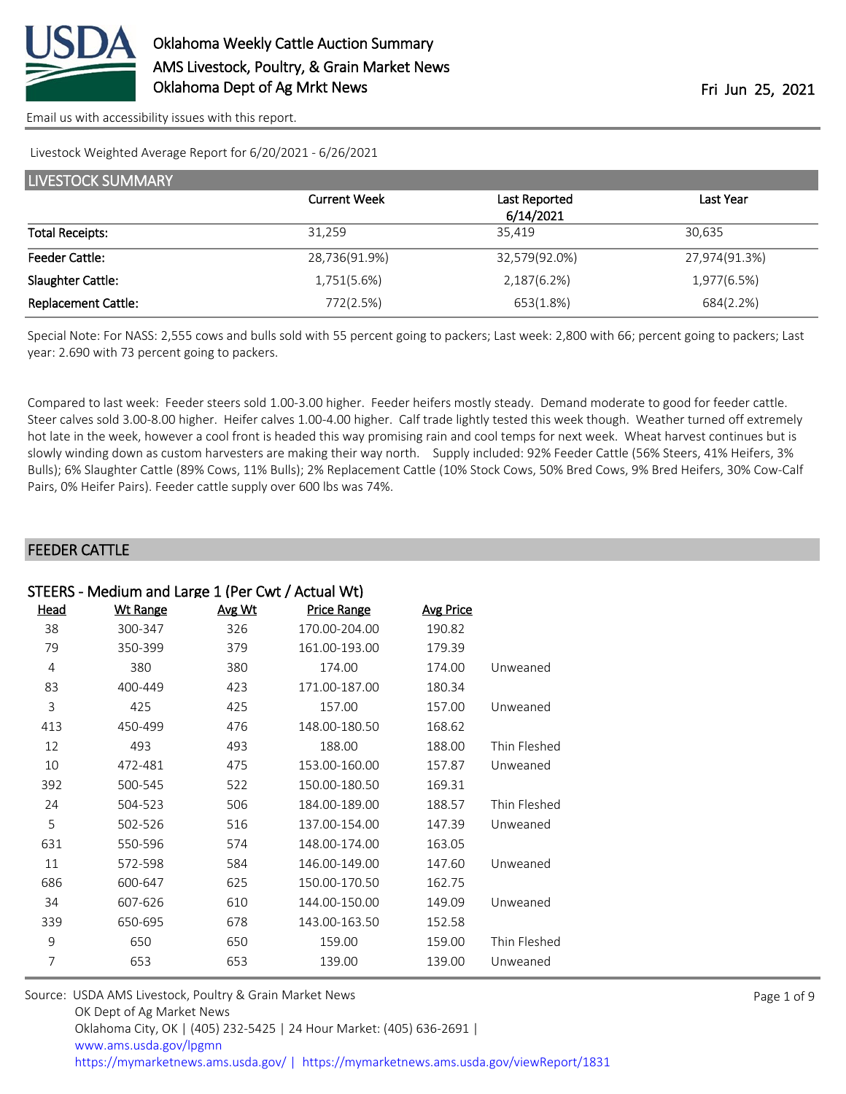

Livestock Weighted Average Report for 6/20/2021 - 6/26/2021

| <b>LIVESTOCK SUMMARY</b>   |                     |               |               |  |  |
|----------------------------|---------------------|---------------|---------------|--|--|
|                            | <b>Current Week</b> | Last Reported | Last Year     |  |  |
|                            |                     | 6/14/2021     |               |  |  |
| <b>Total Receipts:</b>     | 31.259              | 35.419        | 30,635        |  |  |
| <b>Feeder Cattle:</b>      | 28,736(91.9%)       | 32,579(92.0%) | 27,974(91.3%) |  |  |
| Slaughter Cattle:          | 1,751(5.6%)         | 2,187(6.2%)   | 1,977(6.5%)   |  |  |
| <b>Replacement Cattle:</b> | 772(2.5%)           | 653(1.8%)     | 684(2.2%)     |  |  |

Special Note: For NASS: 2,555 cows and bulls sold with 55 percent going to packers; Last week: 2,800 with 66; percent going to packers; Last year: 2.690 with 73 percent going to packers.

Compared to last week: Feeder steers sold 1.00-3.00 higher. Feeder heifers mostly steady. Demand moderate to good for feeder cattle. Steer calves sold 3.00-8.00 higher. Heifer calves 1.00-4.00 higher. Calf trade lightly tested this week though. Weather turned off extremely hot late in the week, however a cool front is headed this way promising rain and cool temps for next week. Wheat harvest continues but is slowly winding down as custom harvesters are making their way north. Supply included: 92% Feeder Cattle (56% Steers, 41% Heifers, 3% Bulls); 6% Slaughter Cattle (89% Cows, 11% Bulls); 2% Replacement Cattle (10% Stock Cows, 50% Bred Cows, 9% Bred Heifers, 30% Cow-Calf Pairs, 0% Heifer Pairs). Feeder cattle supply over 600 lbs was 74%.

#### FEEDER CATTLE

| STEERS - Medium and Large 1 (Per Cwt / Actual Wt) |                 |               |                    |                  |              |  |
|---------------------------------------------------|-----------------|---------------|--------------------|------------------|--------------|--|
| Head                                              | <b>Wt Range</b> | <u>Avg Wt</u> | <b>Price Range</b> | <b>Avg Price</b> |              |  |
| 38                                                | 300-347         | 326           | 170.00-204.00      | 190.82           |              |  |
| 79                                                | 350-399         | 379           | 161.00-193.00      | 179.39           |              |  |
| $\overline{4}$                                    | 380             | 380           | 174.00             | 174.00           | Unweaned     |  |
| 83                                                | 400-449         | 423           | 171.00-187.00      | 180.34           |              |  |
| 3                                                 | 425             | 425           | 157.00             | 157.00           | Unweaned     |  |
| 413                                               | 450-499         | 476           | 148.00-180.50      | 168.62           |              |  |
| 12                                                | 493             | 493           | 188.00             | 188.00           | Thin Fleshed |  |
| 10                                                | 472-481         | 475           | 153.00-160.00      | 157.87           | Unweaned     |  |
| 392                                               | 500-545         | 522           | 150.00-180.50      | 169.31           |              |  |
| 24                                                | 504-523         | 506           | 184.00-189.00      | 188.57           | Thin Fleshed |  |
| 5                                                 | 502-526         | 516           | 137.00-154.00      | 147.39           | Unweaned     |  |
| 631                                               | 550-596         | 574           | 148.00-174.00      | 163.05           |              |  |
| 11                                                | 572-598         | 584           | 146.00-149.00      | 147.60           | Unweaned     |  |
| 686                                               | 600-647         | 625           | 150.00-170.50      | 162.75           |              |  |
| 34                                                | 607-626         | 610           | 144.00-150.00      | 149.09           | Unweaned     |  |
| 339                                               | 650-695         | 678           | 143.00-163.50      | 152.58           |              |  |
| 9                                                 | 650             | 650           | 159.00             | 159.00           | Thin Fleshed |  |
| 7                                                 | 653             | 653           | 139.00             | 139.00           | Unweaned     |  |
|                                                   |                 |               |                    |                  |              |  |

| Source: USDA AMS Livestock, Poultry & Grain Market News                                |
|----------------------------------------------------------------------------------------|
| OK Dept of Ag Market News                                                              |
| Oklahoma City, OK   (405) 232-5425   24 Hour Market: (405) 636-2691                    |
| www.ams.usda.gov/lpgmn                                                                 |
| https://mymarketnews.ams.usda.gov/   https://mymarketnews.ams.usda.gov/viewReport/1831 |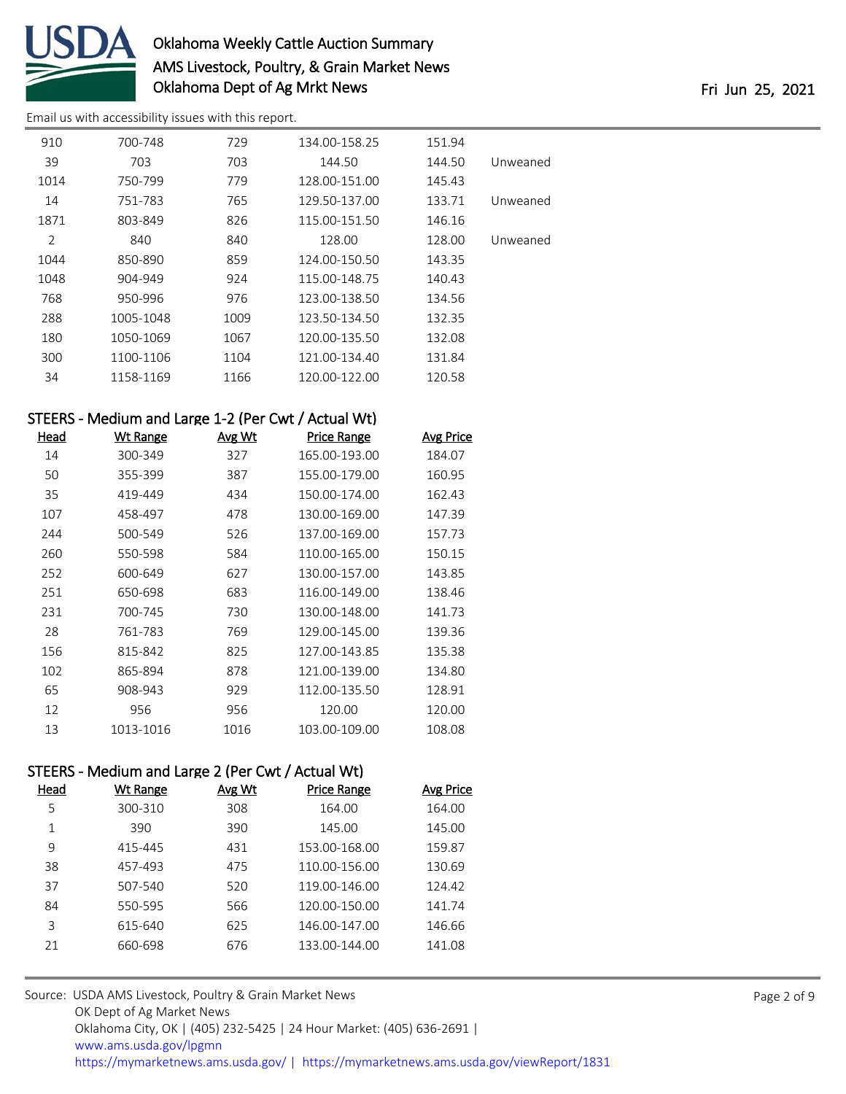

# Oklahoma Weekly Cattle Auction Summary AMS Livestock, Poultry, & Grain Market News Oklahoma Dept of Ag Mrkt News **Fri 100 and 2008** Fri Jun 25, 2021

[Email us with accessibility issues with this report.](mailto:mars@ams.usda.gov?subject=508%20issue)

| 910  | 700-748   | 729  | 134.00-158.25 | 151.94 |          |
|------|-----------|------|---------------|--------|----------|
| 39   | 703       | 703  | 144.50        | 144.50 | Unweaned |
| 1014 | 750-799   | 779  | 128.00-151.00 | 145.43 |          |
| 14   | 751-783   | 765  | 129.50-137.00 | 133.71 | Unweaned |
| 1871 | 803-849   | 826  | 115.00-151.50 | 146.16 |          |
| 2    | 840       | 840  | 128.00        | 128.00 | Unweaned |
| 1044 | 850-890   | 859  | 124.00-150.50 | 143.35 |          |
| 1048 | 904-949   | 924  | 115.00-148.75 | 140.43 |          |
| 768  | 950-996   | 976  | 123.00-138.50 | 134.56 |          |
| 288  | 1005-1048 | 1009 | 123.50-134.50 | 132.35 |          |
| 180  | 1050-1069 | 1067 | 120.00-135.50 | 132.08 |          |
| 300  | 1100-1106 | 1104 | 121.00-134.40 | 131.84 |          |
| 34   | 1158-1169 | 1166 | 120.00-122.00 | 120.58 |          |

## STEERS - Medium and Large 1-2 (Per Cwt / Actual Wt)

| Head | <b>Wt Range</b> | <u>Avg Wt</u> | <b>Price Range</b> | Avg Price |
|------|-----------------|---------------|--------------------|-----------|
| 14   | 300-349         | 327           | 165.00-193.00      | 184.07    |
| 50   | 355-399         | 387           | 155.00-179.00      | 160.95    |
| 35   | 419-449         | 434           | 150.00-174.00      | 162.43    |
| 107  | 458-497         | 478           | 130.00-169.00      | 147.39    |
| 244  | 500-549         | 526           | 137.00-169.00      | 157.73    |
| 260  | 550-598         | 584           | 110.00-165.00      | 150.15    |
| 252  | 600-649         | 627           | 130.00-157.00      | 143.85    |
| 251  | 650-698         | 683           | 116.00-149.00      | 138.46    |
| 231  | 700-745         | 730           | 130.00-148.00      | 141.73    |
| 28   | 761-783         | 769           | 129.00-145.00      | 139.36    |
| 156  | 815-842         | 825           | 127.00-143.85      | 135.38    |
| 102  | 865-894         | 878           | 121.00-139.00      | 134.80    |
| 65   | 908-943         | 929           | 112.00-135.50      | 128.91    |
| 12   | 956             | 956           | 120.00             | 120.00    |
| 13   | 1013-1016       | 1016          | 103.00-109.00      | 108.08    |

### STEERS - Medium and Large 2 (Per Cwt / Actual Wt)

| Head | Wt Range | Avg Wt | <b>Price Range</b> | <b>Avg Price</b> |
|------|----------|--------|--------------------|------------------|
| 5    | 300-310  | 308    | 164.00             | 164.00           |
| 1    | 390      | 390    | 145.00             | 145.00           |
| 9    | 415-445  | 431    | 153.00-168.00      | 159.87           |
| 38   | 457-493  | 475    | 110.00-156.00      | 130.69           |
| 37   | 507-540  | 520    | 119.00-146.00      | 124.42           |
| 84   | 550-595  | 566    | 120.00-150.00      | 141.74           |
| 3    | 615-640  | 625    | 146.00-147.00      | 146.66           |
| 21   | 660-698  | 676    | 133.00-144.00      | 141.08           |
|      |          |        |                    |                  |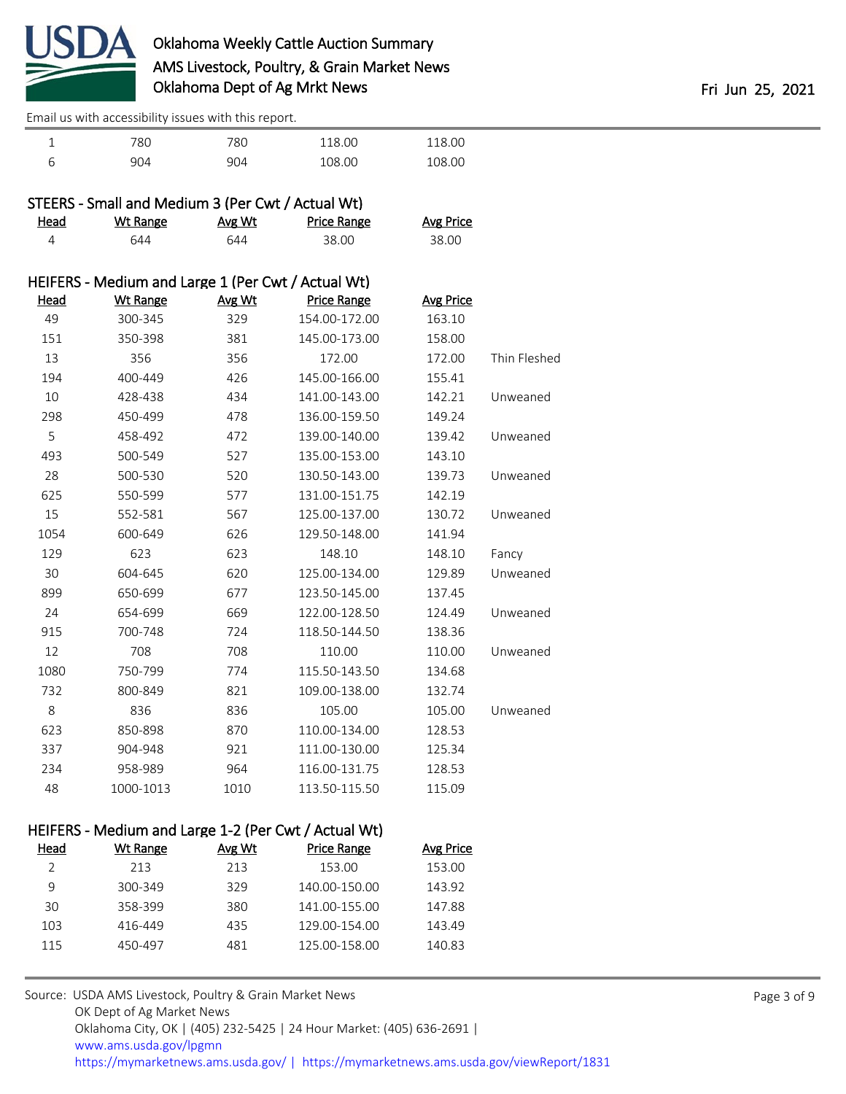

| — | $\overline{\phantom{a}}$<br>oυ | 180  | .00<br>v | $\sim$ 00 |  |
|---|--------------------------------|------|----------|-----------|--|
|   | Ω4                             | 90 I | 00.80    |           |  |

|             | STEERS - Small and Medium 3 (Per Cwt / Actual Wt)  |        |                    |                  |              |
|-------------|----------------------------------------------------|--------|--------------------|------------------|--------------|
| <u>Head</u> | <b>Wt Range</b>                                    | Avg Wt | <b>Price Range</b> | <b>Avg Price</b> |              |
| 4           | 644                                                | 644    | 38.00              | 38.00            |              |
|             | HEIFERS - Medium and Large 1 (Per Cwt / Actual Wt) |        |                    |                  |              |
| <b>Head</b> | <b>Wt Range</b>                                    | Avg Wt | <b>Price Range</b> | <b>Avg Price</b> |              |
| 49          | 300-345                                            | 329    | 154.00-172.00      | 163.10           |              |
| 151         | 350-398                                            | 381    | 145.00-173.00      | 158.00           |              |
| 13          | 356                                                | 356    | 172.00             | 172.00           | Thin Fleshed |
| 194         | 400-449                                            | 426    | 145.00-166.00      | 155.41           |              |
| 10          | 428-438                                            | 434    | 141.00-143.00      | 142.21           | Unweaned     |
| 298         | 450-499                                            | 478    | 136.00-159.50      | 149.24           |              |
| 5           | 458-492                                            | 472    | 139.00-140.00      | 139.42           | Unweaned     |
| 493         | 500-549                                            | 527    | 135.00-153.00      | 143.10           |              |
| 28          | 500-530                                            | 520    | 130.50-143.00      | 139.73           | Unweaned     |
| 625         | 550-599                                            | 577    | 131.00-151.75      | 142.19           |              |
| 15          | 552-581                                            | 567    | 125.00-137.00      | 130.72           | Unweaned     |
| 1054        | 600-649                                            | 626    | 129.50-148.00      | 141.94           |              |
| 129         | 623                                                | 623    | 148.10             | 148.10           | Fancy        |
| 30          | 604-645                                            | 620    | 125.00-134.00      | 129.89           | Unweaned     |
| 899         | 650-699                                            | 677    | 123.50-145.00      | 137.45           |              |
| 24          | 654-699                                            | 669    | 122.00-128.50      | 124.49           | Unweaned     |
| 915         | 700-748                                            | 724    | 118.50-144.50      | 138.36           |              |
| 12          | 708                                                | 708    | 110.00             | 110.00           | Unweaned     |
| 1080        | 750-799                                            | 774    | 115.50-143.50      | 134.68           |              |
| 732         | 800-849                                            | 821    | 109.00-138.00      | 132.74           |              |
| 8           | 836                                                | 836    | 105.00             | 105.00           | Unweaned     |
| 623         | 850-898                                            | 870    | 110.00-134.00      | 128.53           |              |
| 337         | 904-948                                            | 921    | 111.00-130.00      | 125.34           |              |
| 234         | 958-989                                            | 964    | 116.00-131.75      | 128.53           |              |
| 48          | 1000-1013                                          | 1010   | 113.50-115.50      | 115.09           |              |

### HEIFERS - Medium and Large 1-2 (Per Cwt / Actual Wt)

| Head | Wt Range | Avg Wt | Price Range   | Avg Price |
|------|----------|--------|---------------|-----------|
|      | 213      | 213    | 153.00        | 153.00    |
| 9    | 300-349  | 329    | 140.00-150.00 | 143.92    |
| 30   | 358-399  | 380    | 141.00-155.00 | 147.88    |
| 103  | 416-449  | 435    | 129.00-154.00 | 143.49    |
| 115  | 450-497  | 481    | 125.00-158.00 | 140.83    |
|      |          |        |               |           |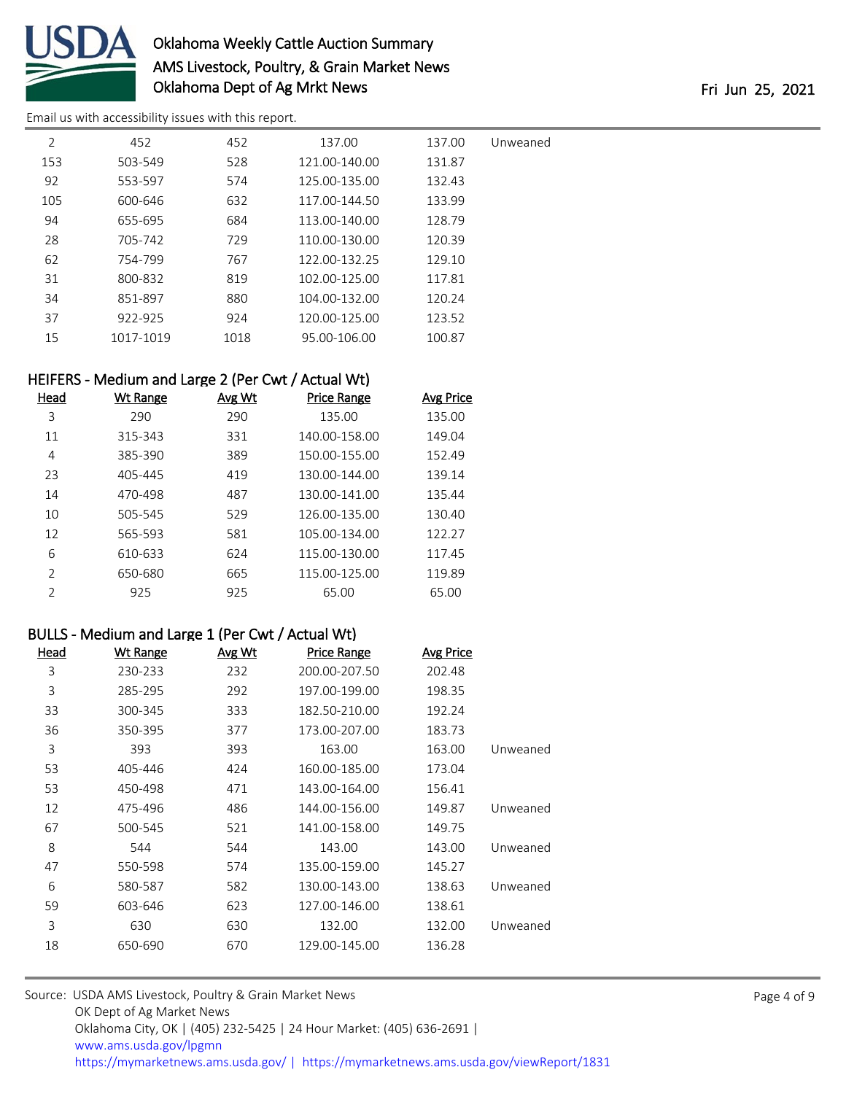

# Oklahoma Weekly Cattle Auction Summary AMS Livestock, Poultry, & Grain Market News Oklahoma Dept of Ag Mrkt News **Fri 100 and 2008** Fri Jun 25, 2021

[Email us with accessibility issues with this report.](mailto:mars@ams.usda.gov?subject=508%20issue)

| Unweaned | 137.00 | 137.00        | 452  | 452       | 2   |
|----------|--------|---------------|------|-----------|-----|
|          | 131.87 | 121.00-140.00 | 528  | 503-549   | 153 |
|          | 132.43 | 125.00-135.00 | 574  | 553-597   | 92  |
|          | 133.99 | 117.00-144.50 | 632  | 600-646   | 105 |
|          | 128.79 | 113.00-140.00 | 684  | 655-695   | 94  |
|          | 120.39 | 110.00-130.00 | 729  | 705-742   | 28  |
|          | 129.10 | 122.00-132.25 | 767  | 754-799   | 62  |
|          | 117.81 | 102.00-125.00 | 819  | 800-832   | 31  |
|          | 120.24 | 104.00-132.00 | 880  | 851-897   | 34  |
|          | 123.52 | 120.00-125.00 | 924  | 922-925   | 37  |
|          | 100.87 | 95.00-106.00  | 1018 | 1017-1019 | 15  |

#### HEIFERS - Medium and Large 2 (Per Cwt / Actual Wt)

| Head          | <b>Wt Range</b> | Avg Wt | Price Range   | <b>Avg Price</b> |
|---------------|-----------------|--------|---------------|------------------|
| 3             | 290             | 290    | 135.00        | 135.00           |
| 11            | 315-343         | 331    | 140.00-158.00 | 149.04           |
| 4             | 385-390         | 389    | 150.00-155.00 | 152.49           |
| 23            | 405-445         | 419    | 130.00-144.00 | 139.14           |
| 14            | 470-498         | 487    | 130.00-141.00 | 135.44           |
| 10            | 505-545         | 529    | 126.00-135.00 | 130.40           |
| 12            | 565-593         | 581    | 105.00-134.00 | 122.27           |
| 6             | 610-633         | 624    | 115.00-130.00 | 117.45           |
| $\mathcal{P}$ | 650-680         | 665    | 115.00-125.00 | 119.89           |
| $\mathcal{P}$ | 925             | 925    | 65.00         | 65.00            |

#### BULLS - Medium and Large 1 (Per Cwt / Actual Wt)

| Head | Wt Range | Avg Wt | <b>Price Range</b> | <b>Avg Price</b> |          |
|------|----------|--------|--------------------|------------------|----------|
| 3    | 230-233  | 232    | 200.00-207.50      | 202.48           |          |
| 3    | 285-295  | 292    | 197.00-199.00      | 198.35           |          |
| 33   | 300-345  | 333    | 182.50-210.00      | 192.24           |          |
| 36   | 350-395  | 377    | 173.00-207.00      | 183.73           |          |
| 3    | 393      | 393    | 163.00             | 163.00           | Unweaned |
| 53   | 405-446  | 424    | 160.00-185.00      | 173.04           |          |
| 53   | 450-498  | 471    | 143.00-164.00      | 156.41           |          |
| 12   | 475-496  | 486    | 144.00-156.00      | 149.87           | Unweaned |
| 67   | 500-545  | 521    | 141.00-158.00      | 149.75           |          |
| 8    | 544      | 544    | 143.00             | 143.00           | Unweaned |
| 47   | 550-598  | 574    | 135.00-159.00      | 145.27           |          |
| 6    | 580-587  | 582    | 130.00-143.00      | 138.63           | Unweaned |
| 59   | 603-646  | 623    | 127.00-146.00      | 138.61           |          |
| 3    | 630      | 630    | 132.00             | 132.00           | Unweaned |
| 18   | 650-690  | 670    | 129.00-145.00      | 136.28           |          |
|      |          |        |                    |                  |          |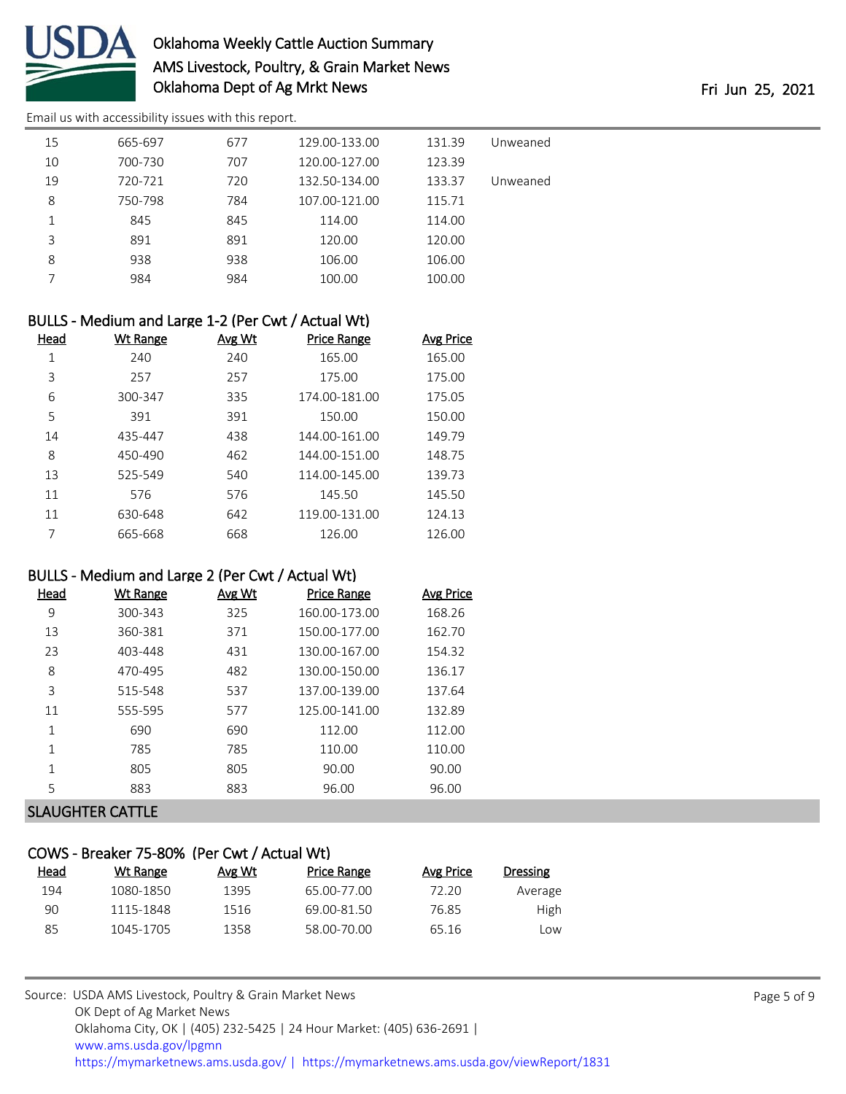

# Oklahoma Weekly Cattle Auction Summary AMS Livestock, Poultry, & Grain Market News Oklahoma Dept of Ag Mrkt News **Fri 100 and 2008** Fri Jun 25, 2021

[Email us with accessibility issues with this report.](mailto:mars@ams.usda.gov?subject=508%20issue)

| 15 |    | 665-697 | 677 | 129.00-133.00 | 131.39 | Unweaned |
|----|----|---------|-----|---------------|--------|----------|
|    | 10 | 700-730 | 707 | 120.00-127.00 | 123.39 |          |
|    | 19 | 720-721 | 720 | 132.50-134.00 | 133.37 | Unweaned |
| 8  |    | 750-798 | 784 | 107.00-121.00 | 115.71 |          |
| 1  |    | 845     | 845 | 114.00        | 114.00 |          |
| 3  |    | 891     | 891 | 120.00        | 120.00 |          |
| 8  |    | 938     | 938 | 106.00        | 106.00 |          |
|    | 7  | 984     | 984 | 100.00        | 100.00 |          |
|    |    |         |     |               |        |          |

| BULLS - Medium and Large 1-2 (Per Cwt / Actual Wt) |          |        |                    |                  |  |  |  |  |  |
|----------------------------------------------------|----------|--------|--------------------|------------------|--|--|--|--|--|
| Head                                               | Wt Range | Avg Wt | <b>Price Range</b> | <b>Avg Price</b> |  |  |  |  |  |
| 1                                                  | 240      | 240    | 165.00             | 165.00           |  |  |  |  |  |
| 3                                                  | 257      | 257    | 175.00             | 175.00           |  |  |  |  |  |
| 6                                                  | 300-347  | 335    | 174.00-181.00      | 175.05           |  |  |  |  |  |
| 5                                                  | 391      | 391    | 150.00             | 150.00           |  |  |  |  |  |
| 14                                                 | 435-447  | 438    | 144.00-161.00      | 149.79           |  |  |  |  |  |
| 8                                                  | 450-490  | 462    | 144.00-151.00      | 148.75           |  |  |  |  |  |
| 13                                                 | 525-549  | 540    | 114.00-145.00      | 139.73           |  |  |  |  |  |
| 11                                                 | 576      | 576    | 145.50             | 145.50           |  |  |  |  |  |
| 11                                                 | 630-648  | 642    | 119.00-131.00      | 124.13           |  |  |  |  |  |
|                                                    | 665-668  | 668    | 126.00             | 126.00           |  |  |  |  |  |

#### BULLS - Medium and Large 2 (Per Cwt / Actual Wt)

| 300-343<br>9<br>325<br>160.00-173.00<br>168.26<br>360-381<br>150.00-177.00<br>13<br>371<br>162.70<br>23<br>403-448<br>431<br>130.00-167.00<br>154.32<br>8<br>470-495<br>130.00-150.00<br>482<br>136.17<br>3<br>137.00-139.00<br>515-548<br>537<br>137.64<br>555-595<br>125.00-141.00<br>132.89<br>577<br>11<br>1<br>690<br>690<br>112.00<br>112.00 | <u>Wt Range</u> | Avg Wt | <b>Price Range</b> | Avg Price |
|----------------------------------------------------------------------------------------------------------------------------------------------------------------------------------------------------------------------------------------------------------------------------------------------------------------------------------------------------|-----------------|--------|--------------------|-----------|
|                                                                                                                                                                                                                                                                                                                                                    |                 |        |                    |           |
|                                                                                                                                                                                                                                                                                                                                                    |                 |        |                    |           |
|                                                                                                                                                                                                                                                                                                                                                    |                 |        |                    |           |
|                                                                                                                                                                                                                                                                                                                                                    |                 |        |                    |           |
|                                                                                                                                                                                                                                                                                                                                                    |                 |        |                    |           |
|                                                                                                                                                                                                                                                                                                                                                    |                 |        |                    |           |
|                                                                                                                                                                                                                                                                                                                                                    |                 |        |                    |           |
| 785<br>785<br>1<br>110.00<br>110.00                                                                                                                                                                                                                                                                                                                |                 |        |                    |           |
| 1<br>90.00<br>90.00<br>805<br>805                                                                                                                                                                                                                                                                                                                  |                 |        |                    |           |
| 5<br>96.00<br>883<br>883<br>96.00                                                                                                                                                                                                                                                                                                                  |                 |        |                    |           |

#### SLAUGHTER CATTLE

## COWS - Breaker 75-80% (Per Cwt / Actual Wt)

| Head | Wt Range  | Avg Wt | Price Range | Avg Price | Dressing |
|------|-----------|--------|-------------|-----------|----------|
| 194  | 1080-1850 | 1395   | 65.00-77.00 | 72.20     | Average  |
| 90   | 1115-1848 | 1516   | 69.00-81.50 | 76.85     | High     |
| 85   | 1045-1705 | 1358   | 58.00-70.00 | 65.16     | Low      |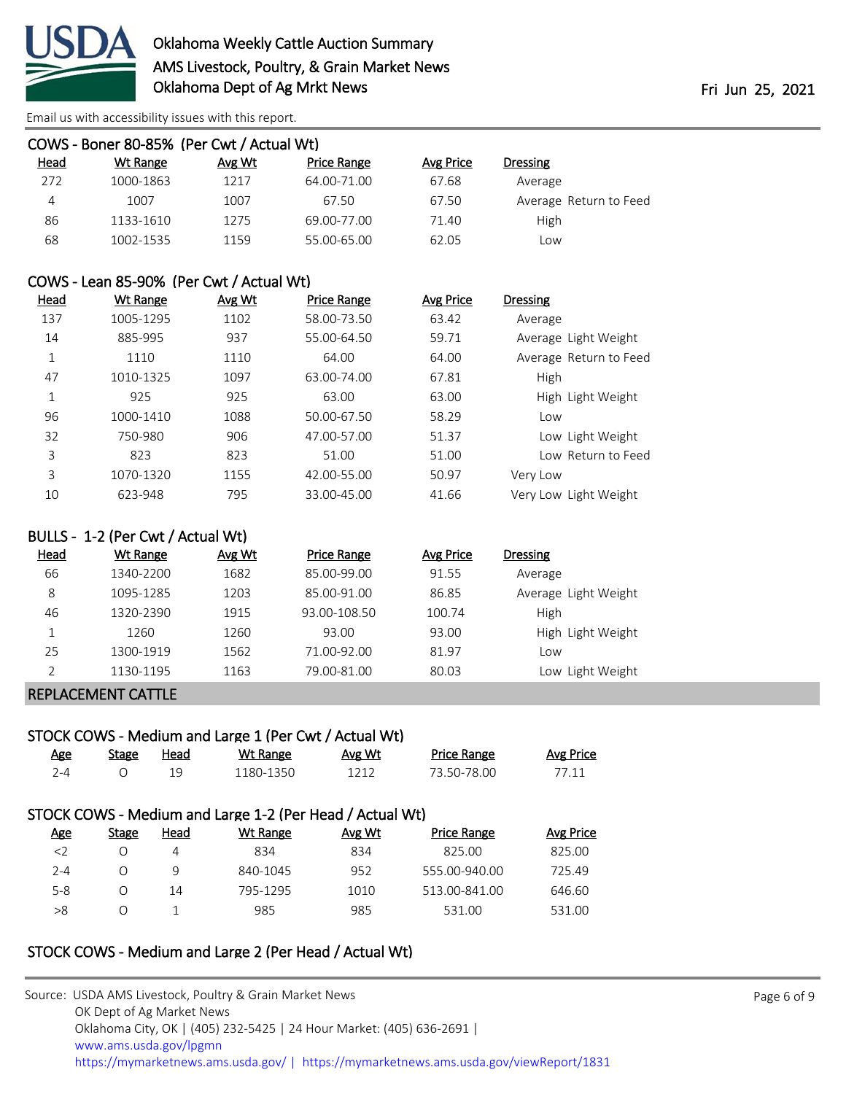

| COWS - Boner 80-85% (Per Cwt / Actual Wt) |           |        |                    |           |                        |  |  |  |  |  |
|-------------------------------------------|-----------|--------|--------------------|-----------|------------------------|--|--|--|--|--|
| <u>Head</u>                               | Wt Range  | Avg Wt | <b>Price Range</b> | Avg Price | <b>Dressing</b>        |  |  |  |  |  |
| 272                                       | 1000-1863 | 1217   | 64.00-71.00        | 67.68     | Average                |  |  |  |  |  |
| 4                                         | 1007      | 1007   | 67.50              | 67.50     | Average Return to Feed |  |  |  |  |  |
| 86                                        | 1133-1610 | 1275   | 69.00-77.00        | 71.40     | High                   |  |  |  |  |  |
| 68                                        | 1002-1535 | 1159   | 55.00-65.00        | 62.05     | Low                    |  |  |  |  |  |

#### COWS - Lean 85-90% (Per Cwt / Actual Wt)

| <u>Head</u> | Wt Range  | Avg Wt | <b>Price Range</b> | Avg Price | <b>Dressing</b>        |
|-------------|-----------|--------|--------------------|-----------|------------------------|
| 137         | 1005-1295 | 1102   | 58.00-73.50        | 63.42     | Average                |
| 14          | 885-995   | 937    | 55.00-64.50        | 59.71     | Average Light Weight   |
| 1           | 1110      | 1110   | 64.00              | 64.00     | Average Return to Feed |
| 47          | 1010-1325 | 1097   | 63.00-74.00        | 67.81     | High                   |
| 1           | 925       | 925    | 63.00              | 63.00     | High Light Weight      |
| 96          | 1000-1410 | 1088   | 50.00-67.50        | 58.29     | Low                    |
| 32          | 750-980   | 906    | 47.00-57.00        | 51.37     | Low Light Weight       |
| 3           | 823       | 823    | 51.00              | 51.00     | Low Return to Feed     |
| 3           | 1070-1320 | 1155   | 42.00-55.00        | 50.97     | Very Low               |
| 10          | 623-948   | 795    | 33.00-45.00        | 41.66     | Very Low Light Weight  |

#### BULLS - 1-2 (Per Cwt / Actual Wt)

| <b>Head</b> | Wt Range  | Avg Wt | Price Range  | Avg Price | <b>Dressing</b>      |
|-------------|-----------|--------|--------------|-----------|----------------------|
| 66          | 1340-2200 | 1682   | 85.00-99.00  | 91.55     | Average              |
| 8           | 1095-1285 | 1203   | 85.00-91.00  | 86.85     | Average Light Weight |
| 46          | 1320-2390 | 1915   | 93.00-108.50 | 100.74    | High                 |
|             | 1260      | 1260   | 93.00        | 93.00     | High Light Weight    |
| 25          | 1300-1919 | 1562   | 71.00-92.00  | 81.97     | Low                  |
|             | 1130-1195 | 1163   | 79.00-81.00  | 80.03     | Low Light Weight     |

#### REPLACEMENT CATTLE

# STOCK COWS - Medium and Large 1 (Per Cwt / Actual Wt)

| <u>Age</u> | Stage | Head | Wt Range  | <b>Avg Wt</b> | <b>Price Range</b> | Avg Price |
|------------|-------|------|-----------|---------------|--------------------|-----------|
| ⊿- י       |       |      | 1180-1350 |               | 73.50-78.00        |           |

# STOCK COWS - Medium and Large 1-2 (Per Head / Actual Wt)

| <b>Age</b> | Stage | Head | Wt Range | Avg Wt | <b>Price Range</b> | Avg Price |
|------------|-------|------|----------|--------|--------------------|-----------|
| <          |       | 4    | 834      | 834    | 825.00             | 825.00    |
| $2 - 4$    |       | q    | 840-1045 | 952    | 555.00-940.00      | 725.49    |
| $5 - 8$    |       | 14   | 795-1295 | 1010   | 513.00-841.00      | 646.60    |
| >8         |       |      | 985      | 985    | 531.00             | 531.00    |

# STOCK COWS - Medium and Large 2 (Per Head / Actual Wt)

| Source: USDA AMS Livestock, Poultry & Grain Market News                                |
|----------------------------------------------------------------------------------------|
| OK Dept of Ag Market News                                                              |
| Oklahoma City, OK   (405) 232-5425   24 Hour Market: (405) 636-2691                    |
| www.ams.usda.gov/lpgmn                                                                 |
| https://mymarketnews.ams.usda.gov/   https://mymarketnews.ams.usda.gov/viewReport/1831 |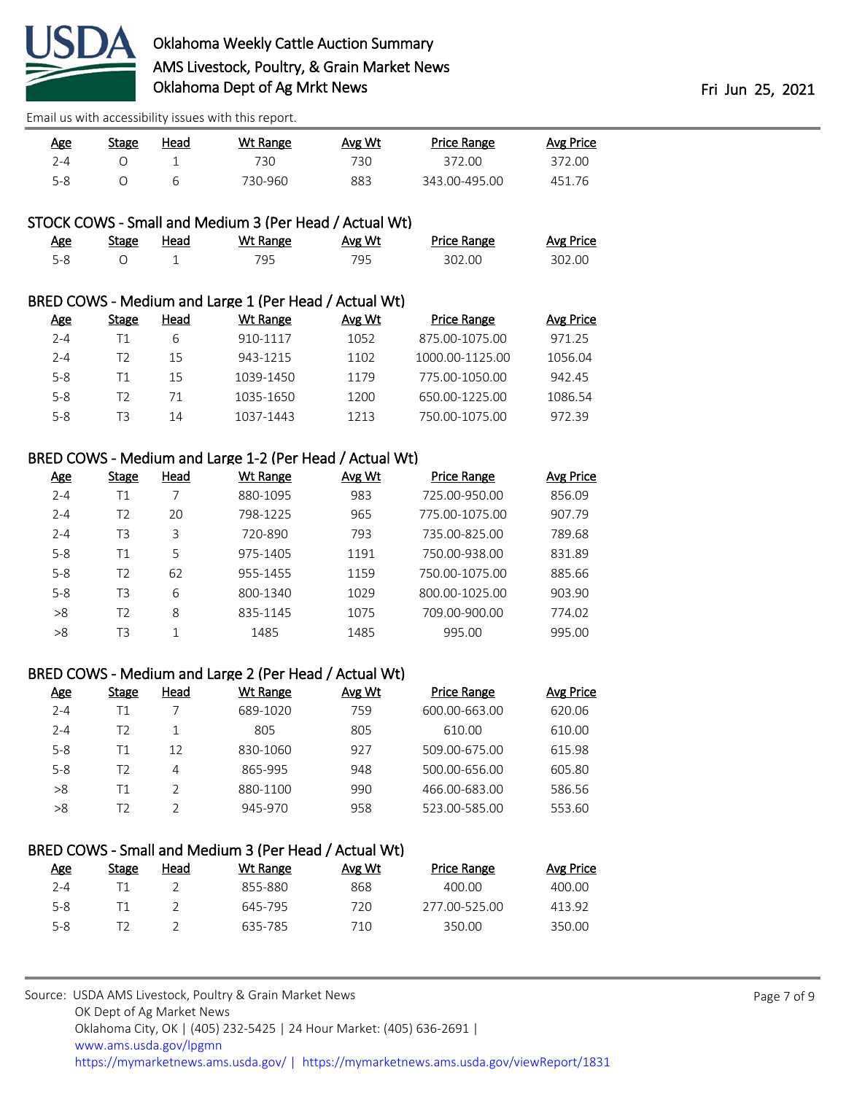

| Age     | Stage | Head | <u>Wt Range</u> | Avg Wt | <b>Price Range</b> | <b>Avg Price</b> |
|---------|-------|------|-----------------|--------|--------------------|------------------|
| $2 - 4$ |       |      | 730             | 730.   | 372.00             | 372.00           |
| $5 - 8$ |       |      | 730-960         | 883    | 343.00-495.00      | 451.76           |

### STOCK COWS - Small and Medium 3 (Per Head / Actual Wt)

| Age     | <b>Stage</b> | Head | Wt Range | Avg Wt | <b>Price Range</b> | <b>Avg Price</b> |
|---------|--------------|------|----------|--------|--------------------|------------------|
| $5 - 8$ |              |      |          | 795    | 302.00             | 302.00           |

#### BRED COWS - Medium and Large 1 (Per Head / Actual Wt)

| Age     | Stage | Head | Wt Range  | Avg Wt | <b>Price Range</b> | Avg Price |
|---------|-------|------|-----------|--------|--------------------|-----------|
| $2 - 4$ | Τ1    | 6    | 910-1117  | 1052   | 875.00-1075.00     | 971.25    |
| $2 - 4$ | 12    | 15   | 943-1215  | 1102   | 1000.00-1125.00    | 1056.04   |
| $5 - 8$ | Τ1    | 15   | 1039-1450 | 1179   | 775.00-1050.00     | 942.45    |
| 5-8     | 12    | 71   | 1035-1650 | 1200   | 650.00-1225.00     | 1086.54   |
| $5-8$   | TЗ    | 14   | 1037-1443 | 1213   | 750.00-1075.00     | 97239     |

#### BRED COWS - Medium and Large 1-2 (Per Head / Actual Wt)

| <b>Age</b> | <b>Stage</b> | Head | Wt Range | Avg Wt | <b>Price Range</b> | <b>Avg Price</b> |
|------------|--------------|------|----------|--------|--------------------|------------------|
| $2 - 4$    | Τ1           |      | 880-1095 | 983    | 725.00-950.00      | 856.09           |
| $2 - 4$    | T2           | 20   | 798-1225 | 965    | 775.00-1075.00     | 907.79           |
| $2 - 4$    | T3           | 3    | 720-890  | 793    | 735.00-825.00      | 789.68           |
| $5 - 8$    | Τ1           | 5    | 975-1405 | 1191   | 750.00-938.00      | 831.89           |
| $5 - 8$    | T2           | 62   | 955-1455 | 1159   | 750.00-1075.00     | 885.66           |
| $5 - 8$    | T3           | 6    | 800-1340 | 1029   | 800.00-1025.00     | 903.90           |
| >8         | T2           | 8    | 835-1145 | 1075   | 709.00-900.00      | 774.02           |
| >8         | T3           | 1    | 1485     | 1485   | 995.00             | 995.00           |
|            |              |      |          |        |                    |                  |

#### BRED COWS - Medium and Large 2 (Per Head / Actual Wt)

| <u>Age</u> | <b>Stage</b> | Head | Wt Range | Avg Wt | <b>Price Range</b> | Avg Price |
|------------|--------------|------|----------|--------|--------------------|-----------|
| $2 - 4$    | Τ1           |      | 689-1020 | 759    | 600.00-663.00      | 620.06    |
| $2 - 4$    | T2           |      | 805      | 805    | 610.00             | 610.00    |
| $5 - 8$    | Τ1           | 12   | 830-1060 | 927    | 509.00-675.00      | 615.98    |
| $5 - 8$    | T2           | 4    | 865-995  | 948    | 500.00-656.00      | 605.80    |
| >8         | Τ1           |      | 880-1100 | 990    | 466.00-683.00      | 586.56    |
| >8         | T2           |      | 945-970  | 958    | 523.00-585.00      | 553.60    |

# BRED COWS - Small and Medium 3 (Per Head / Actual Wt)

| Age     | <b>Stage</b> | Head | Wt Range | Avg Wt | Price Range   | Avg Price |
|---------|--------------|------|----------|--------|---------------|-----------|
| 2-4     |              |      | 855-880  | 868    | 400.00        | 400.00    |
| $5 - 8$ |              |      | 645-795  | 720    | 277.00-525.00 | 413.92    |
| $5 - 8$ |              |      | 635-785  | 710    | 350.00        | 350.00    |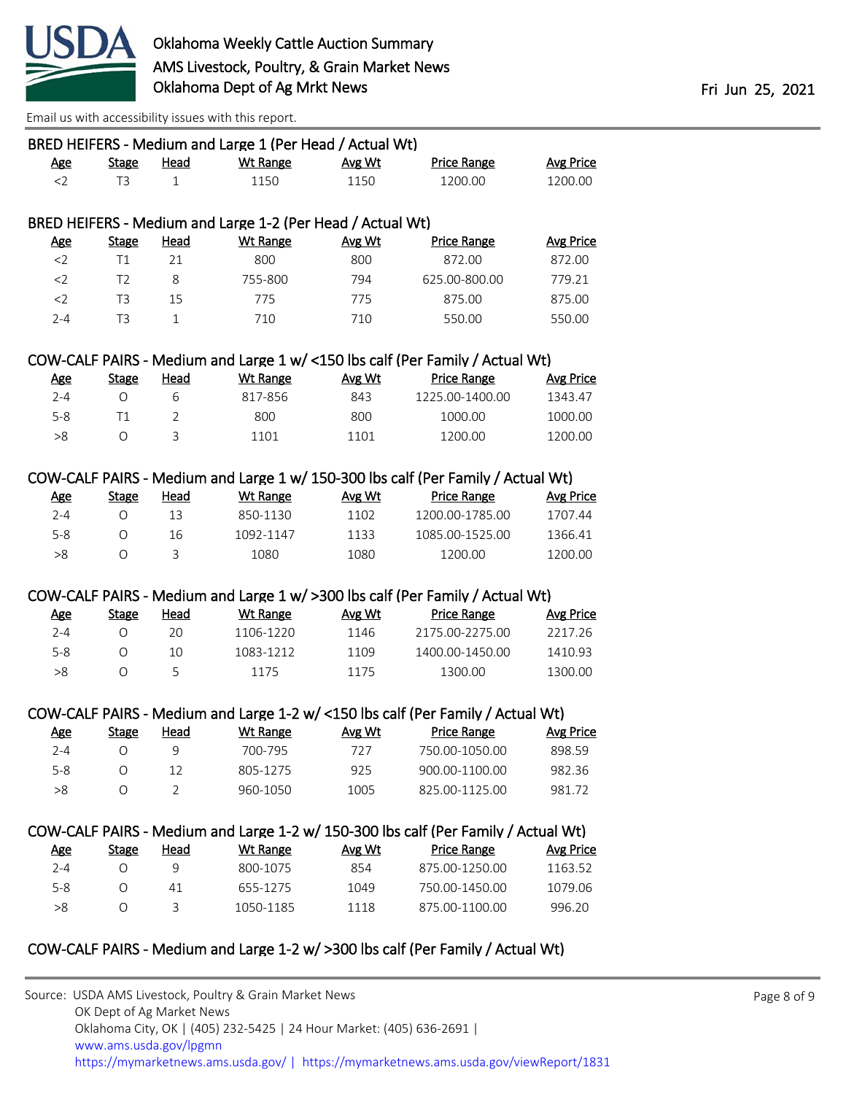

| Head<br><b>Stage</b><br>$\mathbf{1}$<br>Head<br><b>Stage</b><br>21<br>8<br>15<br>$\mathbf{1}$ | <b>Wt Range</b><br>1150<br>BRED HEIFERS - Medium and Large 1-2 (Per Head / Actual Wt)<br><b>Wt Range</b><br>800<br>755-800 | Avg Wt<br>1150<br>Avg Wt<br>800          | <b>Price Range</b><br>1200.00<br><b>Price Range</b>                                | <b>Avg Price</b><br>1200.00                                                                                                               |
|-----------------------------------------------------------------------------------------------|----------------------------------------------------------------------------------------------------------------------------|------------------------------------------|------------------------------------------------------------------------------------|-------------------------------------------------------------------------------------------------------------------------------------------|
|                                                                                               |                                                                                                                            |                                          |                                                                                    |                                                                                                                                           |
|                                                                                               |                                                                                                                            |                                          |                                                                                    |                                                                                                                                           |
|                                                                                               |                                                                                                                            |                                          |                                                                                    |                                                                                                                                           |
|                                                                                               |                                                                                                                            |                                          |                                                                                    |                                                                                                                                           |
|                                                                                               |                                                                                                                            |                                          |                                                                                    | <b>Avg Price</b>                                                                                                                          |
|                                                                                               |                                                                                                                            |                                          | 872.00                                                                             | 872.00                                                                                                                                    |
|                                                                                               |                                                                                                                            | 794                                      | 625.00-800.00                                                                      | 779.21                                                                                                                                    |
|                                                                                               | 775                                                                                                                        | 775                                      | 875.00                                                                             | 875.00                                                                                                                                    |
|                                                                                               | 710                                                                                                                        | 710                                      | 550.00                                                                             | 550.00                                                                                                                                    |
|                                                                                               |                                                                                                                            |                                          | COW-CALF PAIRS - Medium and Large 1 w/ <150 lbs calf (Per Family / Actual Wt)      |                                                                                                                                           |
| <b>Head</b><br><b>Stage</b>                                                                   | <b>Wt Range</b>                                                                                                            | Avg Wt                                   | <b>Price Range</b>                                                                 | <b>Avg Price</b>                                                                                                                          |
| 6                                                                                             | 817-856                                                                                                                    | 843                                      | 1225.00-1400.00                                                                    | 1343.47                                                                                                                                   |
| $\overline{2}$                                                                                | 800                                                                                                                        | 800                                      | 1000.00                                                                            | 1000.00                                                                                                                                   |
| 3                                                                                             | 1101                                                                                                                       | 1101                                     | 1200.00                                                                            | 1200.00                                                                                                                                   |
|                                                                                               |                                                                                                                            |                                          |                                                                                    |                                                                                                                                           |
|                                                                                               |                                                                                                                            |                                          | COW-CALF PAIRS - Medium and Large 1 w/ 150-300 lbs calf (Per Family / Actual Wt)   |                                                                                                                                           |
| <b>Head</b><br><b>Stage</b>                                                                   | <b>Wt Range</b>                                                                                                            | Avg Wt                                   | <b>Price Range</b>                                                                 | <b>Avg Price</b>                                                                                                                          |
| 13                                                                                            | 850-1130                                                                                                                   | 1102                                     | 1200.00-1785.00                                                                    | 1707.44                                                                                                                                   |
| 16                                                                                            | 1092-1147                                                                                                                  | 1133                                     | 1085.00-1525.00                                                                    | 1366.41                                                                                                                                   |
| 3                                                                                             | 1080                                                                                                                       | 1080                                     | 1200.00                                                                            | 1200.00                                                                                                                                   |
|                                                                                               |                                                                                                                            |                                          | COW-CALF PAIRS - Medium and Large 1 w/ >300 lbs calf (Per Family / Actual Wt)      |                                                                                                                                           |
| <b>Head</b><br><b>Stage</b>                                                                   | <b>Wt Range</b>                                                                                                            | Avg Wt                                   | <b>Price Range</b>                                                                 | <b>Avg Price</b>                                                                                                                          |
| 20                                                                                            | 1106-1220                                                                                                                  | 1146                                     | 2175.00-2275.00                                                                    | 2217.26                                                                                                                                   |
| 10                                                                                            | 1083-1212                                                                                                                  | 1109                                     | 1400.00-1450.00                                                                    | 1410.93                                                                                                                                   |
| 5                                                                                             | 1175                                                                                                                       | 1175                                     | 1300.00                                                                            | 1300.00                                                                                                                                   |
|                                                                                               |                                                                                                                            |                                          |                                                                                    |                                                                                                                                           |
|                                                                                               |                                                                                                                            |                                          | COW-CALF PAIRS - Medium and Large 1-2 w/ <150 lbs calf (Per Family / Actual Wt)    |                                                                                                                                           |
| Head<br><b>Stage</b>                                                                          | <b>Wt Range</b>                                                                                                            | Avg Wt                                   | <b>Price Range</b>                                                                 | <b>Avg Price</b>                                                                                                                          |
| 9                                                                                             | 700-795                                                                                                                    | 727                                      | 750.00-1050.00                                                                     | 898.59                                                                                                                                    |
| 12                                                                                            | 805-1275                                                                                                                   | 925                                      | 900.00-1100.00                                                                     | 982.36                                                                                                                                    |
| $\overline{2}$                                                                                | 960-1050                                                                                                                   | 1005                                     | 825.00-1125.00                                                                     | 981.72                                                                                                                                    |
|                                                                                               |                                                                                                                            |                                          | COW-CALF PAIRS - Medium and Large 1-2 w/ 150-300 lbs calf (Per Family / Actual Wt) |                                                                                                                                           |
|                                                                                               |                                                                                                                            |                                          |                                                                                    | <b>Avg Price</b>                                                                                                                          |
| 9                                                                                             | 800-1075                                                                                                                   |                                          | 875.00-1250.00                                                                     | 1163.52                                                                                                                                   |
|                                                                                               |                                                                                                                            |                                          |                                                                                    | 1079.06                                                                                                                                   |
|                                                                                               |                                                                                                                            |                                          |                                                                                    | 996.20                                                                                                                                    |
|                                                                                               |                                                                                                                            |                                          |                                                                                    |                                                                                                                                           |
| <b>Stage</b>                                                                                  | <b>Head</b><br>41<br>3                                                                                                     | <b>Wt Range</b><br>655-1275<br>1050-1185 | Avg Wt<br>854<br>1049<br>1118                                                      | <b>Price Range</b><br>750.00-1450.00<br>875.00-1100.00<br>COW-CALF PAIRS - Medium and Large 1-2 w/ >300 lbs calf (Per Family / Actual Wt) |